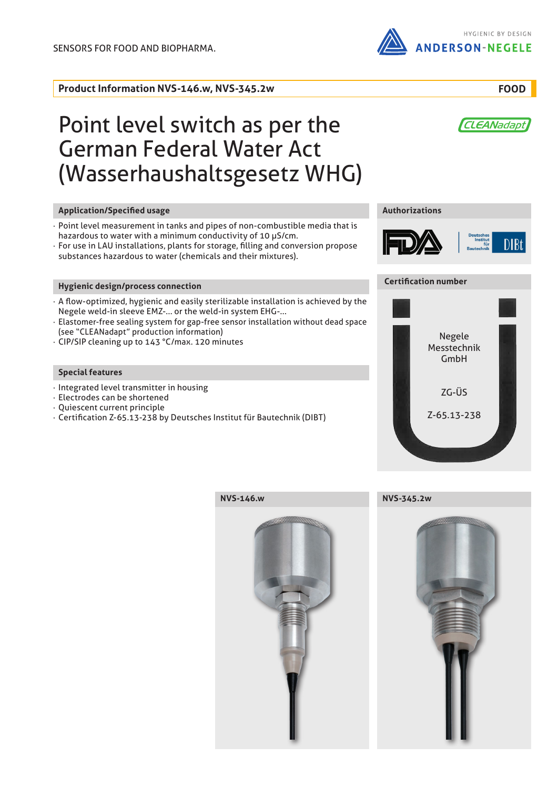**Product Information NVS-146.w, NVS-345.2w**

HYGIENIC BY DESIGN ANDERSON-NEGELE

**FOOD**

CLEANadapt

# Point level switch as per the German Federal Water Act (Wasserhaushaltsgesetz WHG)

# **Application/Specified usage Authorizations**

- Point level measurement in tanks and pipes of non-combustible media that is hazardous to water with a minimum conductivity of 10 µS/cm.
- · For use in LAU installations, plants for storage, filling and conversion propose substances hazardous to water (chemicals and their mixtures).

# **Hygienic design/process connection**

- · A flow-optimized, hygienic and easily sterilizable installation is achieved by the Negele weld-in sleeve EMZ-... or the weld-in system EHG-...
- · Elastomer-free sealing system for gap-free sensor installation without dead space (see "CLEANadapt" production information)
- · CIP/SIP cleaning up to 143 °C/max. 120 minutes

# **Special features**

- · Integrated level transmitter in housing
- · Electrodes can be shortened
- · Quiescent current principle
- · Certification Z-65.13-238 by Deutsches Institut für Bautechnik (DIBT)



# **Certification number**



**NVS-146.w**





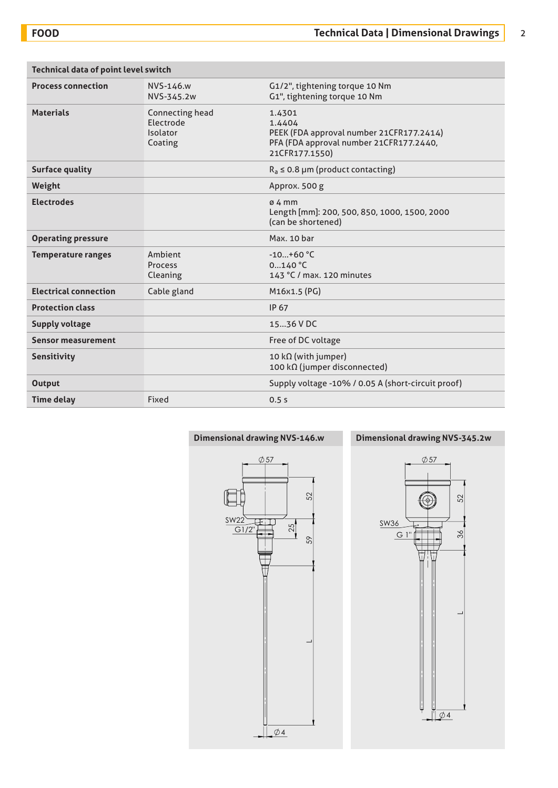| <b>Technical data of point level switch</b> |                                                     |                                                                                                                           |
|---------------------------------------------|-----------------------------------------------------|---------------------------------------------------------------------------------------------------------------------------|
| <b>Process connection</b>                   | NVS-146.w<br>NVS-345.2w                             | G1/2", tightening torque 10 Nm<br>G1", tightening torque 10 Nm                                                            |
| <b>Materials</b>                            | Connecting head<br>Electrode<br>Isolator<br>Coating | 1.4301<br>1.4404<br>PEEK (FDA approval number 21CFR177.2414)<br>PFA (FDA approval number 21CFR177.2440,<br>21CFR177.1550) |
| <b>Surface quality</b>                      |                                                     | $R_a \le 0.8$ µm (product contacting)                                                                                     |
| Weight                                      |                                                     | Approx. 500 g                                                                                                             |
| <b>Electrodes</b>                           |                                                     | $04$ mm<br>Length [mm]: 200, 500, 850, 1000, 1500, 2000<br>(can be shortened)                                             |
| <b>Operating pressure</b>                   |                                                     | Max. 10 bar                                                                                                               |
| <b>Temperature ranges</b>                   | Ambient<br>Process<br>Cleaning                      | $-10+60 °C$<br>0140 °C<br>143 °C / max. 120 minutes                                                                       |
| <b>Electrical connection</b>                | Cable gland                                         | M16x1.5 (PG)                                                                                                              |
| <b>Protection class</b>                     |                                                     | <b>IP 67</b>                                                                                                              |
| <b>Supply voltage</b>                       |                                                     | 1536 V DC                                                                                                                 |
| <b>Sensor measurement</b>                   |                                                     | Free of DC voltage                                                                                                        |
| Sensitivity                                 |                                                     | 10 $k\Omega$ (with jumper)<br>100 kΩ (jumper disconnected)                                                                |
| <b>Output</b>                               |                                                     | Supply voltage -10% / 0.05 A (short-circuit proof)                                                                        |
| <b>Time delay</b>                           | Fixed                                               | 0.5s                                                                                                                      |

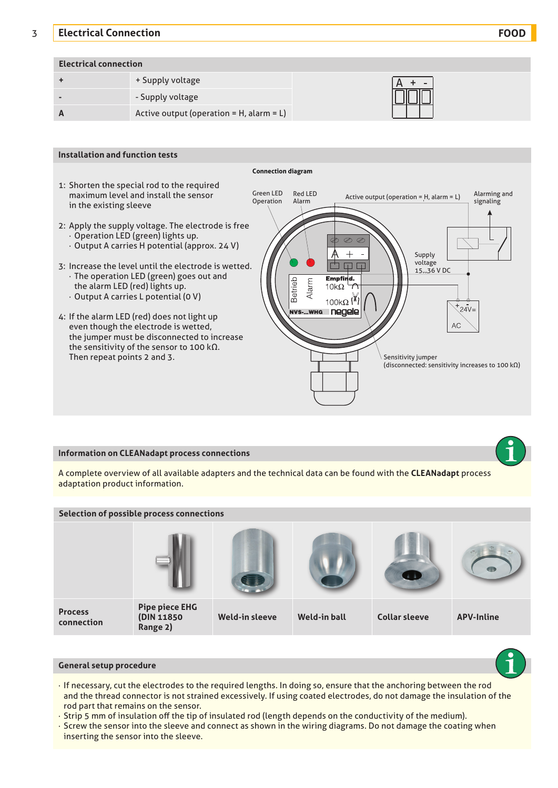# 3 **Electrical Connection FOOD**

# **Electrical connection**

|                | + Supply voltage                               | $\qquad \qquad$ |
|----------------|------------------------------------------------|-----------------|
| $\blacksquare$ | - Supply voltage                               | Ш               |
|                | Active output (operation = $H$ , alarm = $L$ ) |                 |



### **Information on CLEANadapt process connections**

A complete overview of all available adapters and the technical data can be found with the **CLEANadapt** process adaptation product information.



# **General setup procedure**

- · If necessary, cut the electrodes to the required lengths. In doing so, ensure that the anchoring between the rod and the thread connector is not strained excessively. If using coated electrodes, do not damage the insulation of the rod part that remains on the sensor.
- · Strip 5 mm of insulation off the tip of insulated rod (length depends on the conductivity of the medium).
- · Screw the sensor into the sleeve and connect as shown in the wiring diagrams. Do not damage the coating when inserting the sensor into the sleeve.